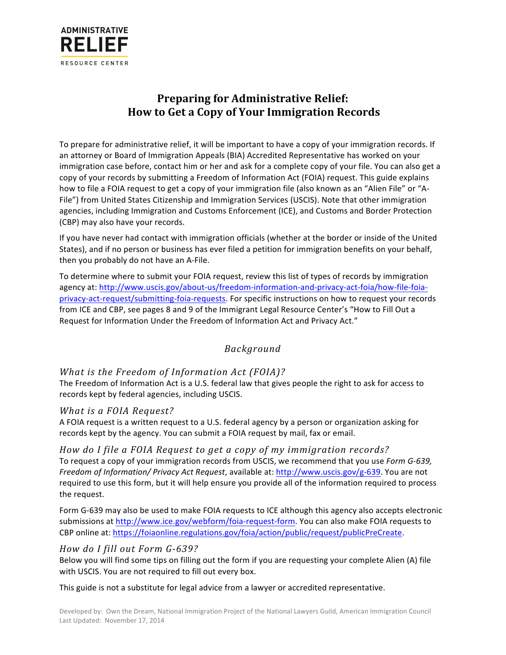

# **Preparing for Administrative Relief: How to Get a Copy of Your Immigration Records**

To prepare for administrative relief, it will be important to have a copy of your immigration records. If an attorney or Board of Immigration Appeals (BIA) Accredited Representative has worked on your immigration case before, contact him or her and ask for a complete copy of your file. You can also get a copy of your records by submitting a Freedom of Information Act (FOIA) request. This guide explains how to file a FOIA request to get a copy of your immigration file (also known as an "Alien File" or "A-File") from United States Citizenship and Immigration Services (USCIS). Note that other immigration agencies, including Immigration and Customs Enforcement (ICE), and Customs and Border Protection (CBP) may also have your records.

If you have never had contact with immigration officials (whether at the border or inside of the United States), and if no person or business has ever filed a petition for immigration benefits on your behalf, then you probably do not have an A-File.

To determine where to submit your FOIA request, review this list of types of records by immigration agency at: http://www.uscis.gov/about-us/freedom-information-and-privacy-act-foia/how-file-foiaprivacy-act-request/submitting-foia-requests. For specific instructions on how to request your records from ICE and CBP, see pages 8 and 9 of the Immigrant Legal Resource Center's "How to Fill Out a Request for Information Under the Freedom of Information Act and Privacy Act."

#### *Background*

#### *What is the Freedom of Information Act (FOIA)?*

The Freedom of Information Act is a U.S. federal law that gives people the right to ask for access to records kept by federal agencies, including USCIS.

#### *What is a FOIA Request?*

A FOIA request is a written request to a U.S. federal agency by a person or organization asking for records kept by the agency. You can submit a FOIA request by mail, fax or email.

How do I file a FOIA Request to get a copy of my immigration records? To request a copy of your immigration records from USCIS, we recommend that you use *Form G-639, Freedom of Information/ Privacy Act Request,* available at: http://www.uscis.gov/g-639. You are not required to use this form, but it will help ensure you provide all of the information required to process the request.

Form G-639 may also be used to make FOIA requests to ICE although this agency also accepts electronic submissions at http://www.ice.gov/webform/foia-request-form. You can also make FOIA requests to CBP online at: https://foiaonline.regulations.gov/foia/action/public/request/publicPreCreate.

#### *How do I fill out Form G-639?*

Below you will find some tips on filling out the form if you are requesting your complete Alien (A) file with USCIS. You are not required to fill out every box.

This guide is not a substitute for legal advice from a lawyer or accredited representative.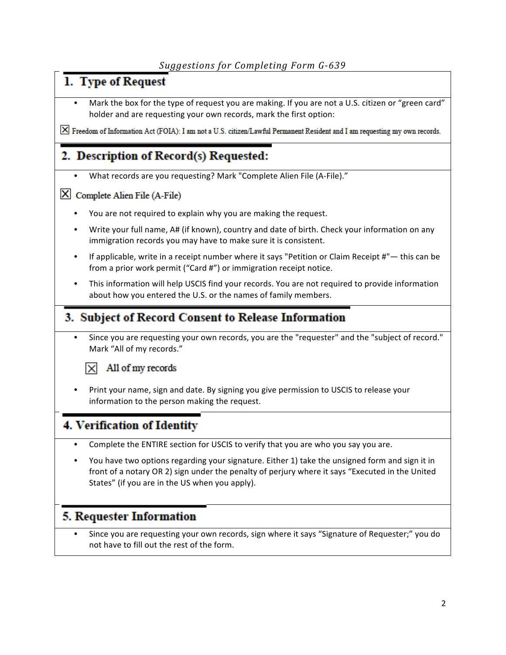# 1. Type of Request

Mark the box for the type of request you are making. If you are not a U.S. citizen or "green card" holder and are requesting your own records, mark the first option:

X Freedom of Information Act (FOIA): I am not a U.S. citizen/Lawful Permanent Resident and I am requesting my own records.

# 2. Description of Record(s) Requested:

What records are you requesting? Mark "Complete Alien File (A-File)."

#### X Complete Alien File (A-File)

- You are not required to explain why you are making the request.
- Write your full name, A# (if known), country and date of birth. Check your information on any immigration records you may have to make sure it is consistent.
- If applicable, write in a receipt number where it says "Petition or Claim Receipt  $#$ " this can be from a prior work permit ("Card #") or immigration receipt notice.
- This information will help USCIS find your records. You are not required to provide information about how you entered the U.S. or the names of family members.

## 3. Subject of Record Consent to Release Information

Since you are requesting your own records, you are the "requester" and the "subject of record." Mark "All of my records."



#### All of my records

Print your name, sign and date. By signing you give permission to USCIS to release your information to the person making the request.

## 4. Verification of Identity

- Complete the ENTIRE section for USCIS to verify that you are who you say you are.
- You have two options regarding your signature. Either 1) take the unsigned form and sign it in front of a notary OR 2) sign under the penalty of perjury where it says "Executed in the United States" (if you are in the US when you apply).

## **5. Requester Information**

Since you are requesting your own records, sign where it says "Signature of Requester;" you do not have to fill out the rest of the form.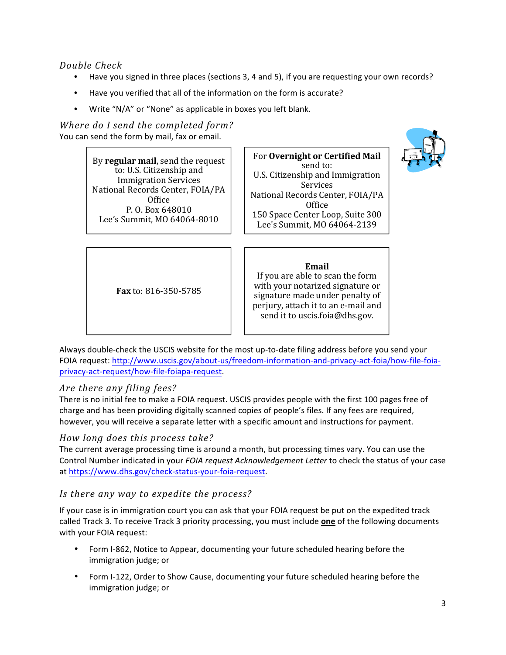*Double Check*

- Have you signed in three places (sections 3, 4 and 5), if you are requesting your own records?
- Have you verified that all of the information on the form is accurate?
- Write "N/A" or "None" as applicable in boxes you left blank.

*Where do I send the completed form?* You can send the form by mail, fax or email.

> By **regular mail**, send the request to: U.S. Citizenship and Immigration Services National Records Center, FOIA/PA **Office** P. O. Box 648010 Lee's Summit, MO 64064-8010

For **Overnight or Certified Mail** send to: U.S. Citizenship and Immigration Services National Records Center, FOIA/PA **Office** 150 Space Center Loop, Suite 300 Lee's Summit, MO 64064-2139



**Email** 

If you are able to scan the form with your notarized signature or signature made under penalty of perjury, attach it to an e-mail and send it to uscis.foia@dhs.gov.

**Fax** to: 816-350-5785 

Always double-check the USCIS website for the most up-to-date filing address before you send your FOIA request: http://www.uscis.gov/about-us/freedom-information-and-privacy-act-foia/how-file-foiaprivacy-act-request/how-file-foiapa-request. 

### Are *there any filing fees?*

There is no initial fee to make a FOIA request. USCIS provides people with the first 100 pages free of charge and has been providing digitally scanned copies of people's files. If any fees are required, however, you will receive a separate letter with a specific amount and instructions for payment.

### *How long does this process take?*

The current average processing time is around a month, but processing times vary. You can use the Control Number indicated in your *FOIA request Acknowledgement Letter* to check the status of your case at https://www.dhs.gov/check-status-your-foia-request.

### *Is there any way to expedite the process?*

If your case is in immigration court you can ask that your FOIA request be put on the expedited track called Track 3. To receive Track 3 priority processing, you must include one of the following documents with your FOIA request:

- Form I-862, Notice to Appear, documenting your future scheduled hearing before the immigration judge; or
- Form I-122, Order to Show Cause, documenting your future scheduled hearing before the immigration judge; or